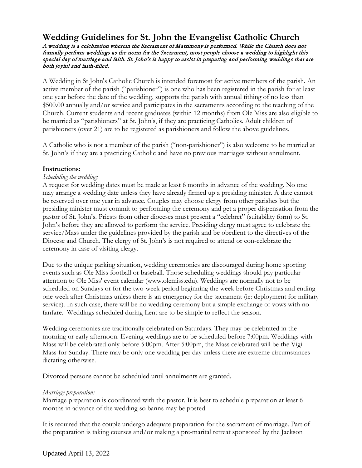# **Wedding Guidelines for St. John the Evangelist Catholic Church**

A wedding is a celebration wherein the Sacrament of Matrimony is performed. While the Church does not formally perform weddings as the norm for the Sacrament, most people choose a wedding to highlight this special day of marriage and faith. St. John's is happy to assist in preparing and performing weddings that are both joyful and faith-filled.

A Wedding in St John's Catholic Church is intended foremost for active members of the parish. An active member of the parish ("parishioner") is one who has been registered in the parish for at least one year before the date of the wedding, supports the parish with annual tithing of no less than \$500.00 annually and/or service and participates in the sacraments according to the teaching of the Church. Current students and recent graduates (within 12 months) from Ole Miss are also eligible to be married as "parishioners" at St. John's, if they are practicing Catholics. Adult children of parishioners (over 21) are to be registered as parishioners and follow the above guidelines.

A Catholic who is not a member of the parish ("non-parishioner") is also welcome to be married at St. John's if they are a practicing Catholic and have no previous marriages without annulment.

### **Instructions:**

### *Scheduling the wedding:*

A request for wedding dates must be made at least 6 months in advance of the wedding. No one may arrange a wedding date unless they have already firmed up a presiding minister. A date cannot be reserved over one year in advance. Couples may choose clergy from other parishes but the presiding minister must commit to performing the ceremony and get a proper dispensation from the pastor of St. John's. Priests from other dioceses must present a "celebret" (suitability form) to St. John's before they are allowed to perform the service. Presiding clergy must agree to celebrate the service/Mass under the guidelines provided by the parish and be obedient to the directives of the Diocese and Church. The clergy of St. John's is not required to attend or con-celebrate the ceremony in case of visiting clergy.

Due to the unique parking situation, wedding ceremonies are discouraged during home sporting events such as Ole Miss football or baseball. Those scheduling weddings should pay particular attention to Ole Miss' event calendar (www.olemiss.edu). Weddings are normally not to be scheduled on Sundays or for the two-week period beginning the week before Christmas and ending one week after Christmas unless there is an emergency for the sacrament (ie: deployment for military service). In such case, there will be no wedding ceremony but a simple exchange of vows with no fanfare. Weddings scheduled during Lent are to be simple to reflect the season.

Wedding ceremonies are traditionally celebrated on Saturdays. They may be celebrated in the morning or early afternoon. Evening weddings are to be scheduled before 7:00pm. Weddings with Mass will be celebrated only before 5:00pm. After 5:00pm, the Mass celebrated will be the Vigil Mass for Sunday. There may be only one wedding per day unless there are extreme circumstances dictating otherwise.

Divorced persons cannot be scheduled until annulments are granted.

#### *Marriage preparation:*

Marriage preparation is coordinated with the pastor. It is best to schedule preparation at least 6 months in advance of the wedding so banns may be posted*.*

It is required that the couple undergo adequate preparation for the sacrament of marriage. Part of the preparation is taking courses and/or making a pre-marital retreat sponsored by the Jackson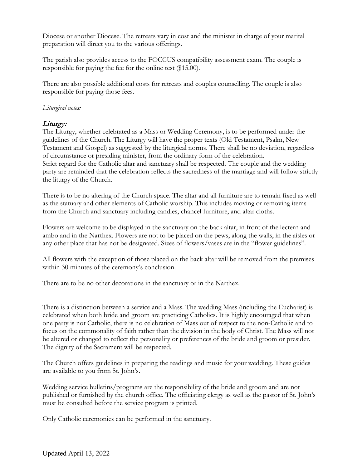Diocese or another Diocese. The retreats vary in cost and the minister in charge of your marital preparation will direct you to the various offerings.

The parish also provides access to the FOCCUS compatibility assessment exam. The couple is responsible for paying the fee for the online test (\$15.00).

There are also possible additional costs for retreats and couples counselling. The couple is also responsible for paying those fees.

# *Liturgical notes:*

# Liturgy:

The Liturgy, whether celebrated as a Mass or Wedding Ceremony, is to be performed under the guidelines of the Church. The Liturgy will have the proper texts (Old Testament, Psalm, New Testament and Gospel) as suggested by the liturgical norms. There shall be no deviation, regardless of circumstance or presiding minister, from the ordinary form of the celebration. Strict regard for the Catholic altar and sanctuary shall be respected. The couple and the wedding party are reminded that the celebration reflects the sacredness of the marriage and will follow strictly the liturgy of the Church.

There is to be no altering of the Church space. The altar and all furniture are to remain fixed as well as the statuary and other elements of Catholic worship. This includes moving or removing items from the Church and sanctuary including candles, chancel furniture, and altar cloths.

Flowers are welcome to be displayed in the sanctuary on the back altar, in front of the lectern and ambo and in the Narthex. Flowers are not to be placed on the pews, along the walls, in the aisles or any other place that has not be designated. Sizes of flowers/vases are in the "flower guidelines".

All flowers with the exception of those placed on the back altar will be removed from the premises within 30 minutes of the ceremony's conclusion.

There are to be no other decorations in the sanctuary or in the Narthex.

There is a distinction between a service and a Mass. The wedding Mass (including the Eucharist) is celebrated when both bride and groom are practicing Catholics. It is highly encouraged that when one party is not Catholic, there is no celebration of Mass out of respect to the non-Catholic and to focus on the commonality of faith rather than the division in the body of Christ. The Mass will not be altered or changed to reflect the personality or preferences of the bride and groom or presider. The dignity of the Sacrament will be respected.

The Church offers guidelines in preparing the readings and music for your wedding. These guides are available to you from St. John's.

Wedding service bulletins/programs are the responsibility of the bride and groom and are not published or furnished by the church office. The officiating clergy as well as the pastor of St. John's must be consulted before the service program is printed.

Only Catholic ceremonies can be performed in the sanctuary.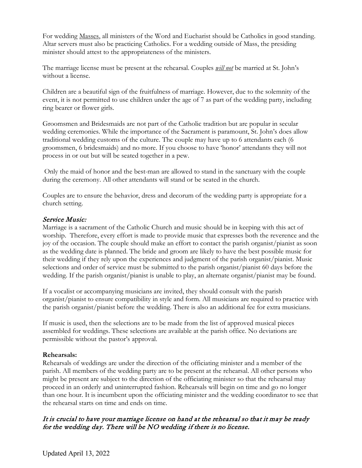For wedding Masses, all ministers of the Word and Eucharist should be Catholics in good standing. Altar servers must also be practicing Catholics. For a wedding outside of Mass, the presiding minister should attest to the appropriateness of the ministers.

The marriage license must be present at the rehearsal. Couples *will not* be married at St. John's without a license.

Children are a beautiful sign of the fruitfulness of marriage. However, due to the solemnity of the event, it is not permitted to use children under the age of 7 as part of the wedding party, including ring bearer or flower girls.

Groomsmen and Bridesmaids are not part of the Catholic tradition but are popular in secular wedding ceremonies. While the importance of the Sacrament is paramount, St. John's does allow traditional wedding customs of the culture. The couple may have up to 6 attendants each (6 groomsmen, 6 bridesmaids) and no more. If you choose to have 'honor' attendants they will not process in or out but will be seated together in a pew.

 Only the maid of honor and the best-man are allowed to stand in the sanctuary with the couple during the ceremony. All other attendants will stand or be seated in the church.

Couples are to ensure the behavior, dress and decorum of the wedding party is appropriate for a church setting.

# Service Music:

Marriage is a sacrament of the Catholic Church and music should be in keeping with this act of worship. Therefore, every effort is made to provide music that expresses both the reverence and the joy of the occasion. The couple should make an effort to contact the parish organist/pianist as soon as the wedding date is planned. The bride and groom are likely to have the best possible music for their wedding if they rely upon the experiences and judgment of the parish organist/pianist. Music selections and order of service must be submitted to the parish organist/pianist 60 days before the wedding. If the parish organist/pianist is unable to play, an alternate organist/pianist may be found.

If a vocalist or accompanying musicians are invited, they should consult with the parish organist/pianist to ensure compatibility in style and form. All musicians are required to practice with the parish organist/pianist before the wedding. There is also an additional fee for extra musicians.

If music is used, then the selections are to be made from the list of approved musical pieces assembled for weddings. These selections are available at the parish office. No deviations are permissible without the pastor's approval.

# **Rehearsals:**

Rehearsals of weddings are under the direction of the officiating minister and a member of the parish. All members of the wedding party are to be present at the rehearsal. All other persons who might be present are subject to the direction of the officiating minister so that the rehearsal may proceed in an orderly and uninterrupted fashion. Rehearsals will begin on time and go no longer than one hour. It is incumbent upon the officiating minister and the wedding coordinator to see that the rehearsal starts on time and ends on time.

# It is crucial to have your marriage license on hand at the rehearsal so that it may be ready for the wedding day. There will be NO wedding if there is no license.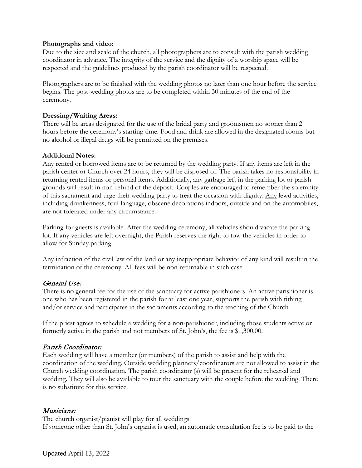### **Photographs and video:**

Due to the size and scale of the church, all photographers are to consult with the parish wedding coordinator in advance. The integrity of the service and the dignity of a worship space will be respected and the guidelines produced by the parish coordinator will be respected.

Photographers are to be finished with the wedding photos no later than one hour before the service begins. The post-wedding photos are to be completed within 30 minutes of the end of the ceremony.

# **Dressing/Waiting Areas:**

There will be areas designated for the use of the bridal party and groomsmen no sooner than 2 hours before the ceremony's starting time. Food and drink are allowed in the designated rooms but no alcohol or illegal drugs will be permitted on the premises.

# **Additional Notes:**

Any rented or borrowed items are to be returned by the wedding party. If any items are left in the parish center or Church over 24 hours, they will be disposed of. The parish takes no responsibility in returning rented items or personal items. Additionally, any garbage left in the parking lot or parish grounds will result in non-refund of the deposit. Couples are encouraged to remember the solemnity of this sacrament and urge their wedding party to treat the occasion with dignity. Any lewd activities, including drunkenness, foul-language, obscene decorations indoors, outside and on the automobiles, are not tolerated under any circumstance.

Parking for guests is available. After the wedding ceremony, all vehicles should vacate the parking lot. If any vehicles are left overnight, the Parish reserves the right to tow the vehicles in order to allow for Sunday parking.

Any infraction of the civil law of the land or any inappropriate behavior of any kind will result in the termination of the ceremony. All fees will be non-returnable in such case.

# General Use:

There is no general fee for the use of the sanctuary for active parishioners. An active parishioner is one who has been registered in the parish for at least one year, supports the parish with tithing and/or service and participates in the sacraments according to the teaching of the Church

If the priest agrees to schedule a wedding for a non-parishioner, including those students active or formerly active in the parish and not members of St. John's, the fee is \$1,300.00.

# Parish Coordinator:

Each wedding will have a member (or members) of the parish to assist and help with the coordination of the wedding. Outside wedding planners/coordinators are not allowed to assist in the Church wedding coordination. The parish coordinator (s) will be present for the rehearsal and wedding. They will also be available to tour the sanctuary with the couple before the wedding. There is no substitute for this service.

### Musicians:

The church organist/pianist will play for all weddings.

If someone other than St. John's organist is used, an automatic consultation fee is to be paid to the